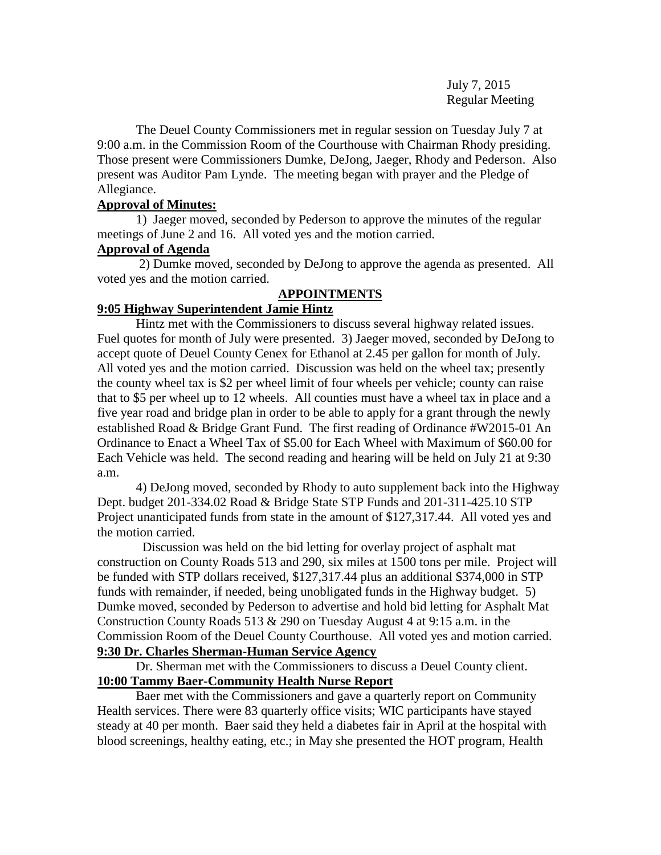July 7, 2015 Regular Meeting

The Deuel County Commissioners met in regular session on Tuesday July 7 at 9:00 a.m. in the Commission Room of the Courthouse with Chairman Rhody presiding. Those present were Commissioners Dumke, DeJong, Jaeger, Rhody and Pederson. Also present was Auditor Pam Lynde. The meeting began with prayer and the Pledge of Allegiance.

## **Approval of Minutes:**

1) Jaeger moved, seconded by Pederson to approve the minutes of the regular meetings of June 2 and 16. All voted yes and the motion carried.

## **Approval of Agenda**

2) Dumke moved, seconded by DeJong to approve the agenda as presented. All voted yes and the motion carried.

# **APPOINTMENTS**

## **9:05 Highway Superintendent Jamie Hintz**

Hintz met with the Commissioners to discuss several highway related issues. Fuel quotes for month of July were presented. 3) Jaeger moved, seconded by DeJong to accept quote of Deuel County Cenex for Ethanol at 2.45 per gallon for month of July. All voted yes and the motion carried. Discussion was held on the wheel tax; presently the county wheel tax is \$2 per wheel limit of four wheels per vehicle; county can raise that to \$5 per wheel up to 12 wheels. All counties must have a wheel tax in place and a five year road and bridge plan in order to be able to apply for a grant through the newly established Road & Bridge Grant Fund. The first reading of Ordinance #W2015-01 An Ordinance to Enact a Wheel Tax of \$5.00 for Each Wheel with Maximum of \$60.00 for Each Vehicle was held. The second reading and hearing will be held on July 21 at 9:30 a.m.

4) DeJong moved, seconded by Rhody to auto supplement back into the Highway Dept. budget 201-334.02 Road & Bridge State STP Funds and 201-311-425.10 STP Project unanticipated funds from state in the amount of \$127,317.44. All voted yes and the motion carried.

Discussion was held on the bid letting for overlay project of asphalt mat construction on County Roads 513 and 290, six miles at 1500 tons per mile. Project will be funded with STP dollars received, \$127,317.44 plus an additional \$374,000 in STP funds with remainder, if needed, being unobligated funds in the Highway budget. 5) Dumke moved, seconded by Pederson to advertise and hold bid letting for Asphalt Mat Construction County Roads 513 & 290 on Tuesday August 4 at 9:15 a.m. in the Commission Room of the Deuel County Courthouse. All voted yes and motion carried. **9:30 Dr. Charles Sherman-Human Service Agency**

Dr. Sherman met with the Commissioners to discuss a Deuel County client. **10:00 Tammy Baer-Community Health Nurse Report**

Baer met with the Commissioners and gave a quarterly report on Community Health services. There were 83 quarterly office visits; WIC participants have stayed steady at 40 per month. Baer said they held a diabetes fair in April at the hospital with blood screenings, healthy eating, etc.; in May she presented the HOT program, Health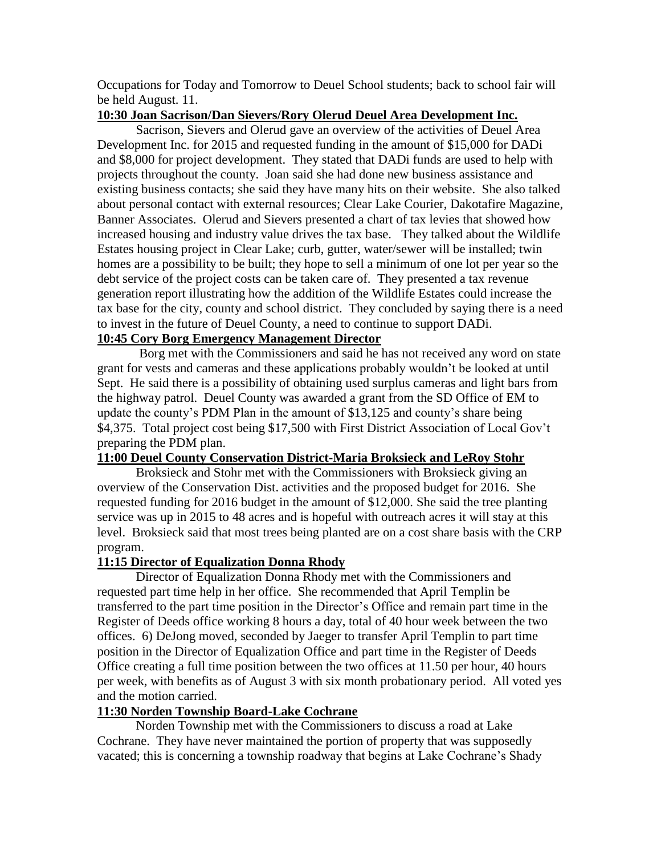Occupations for Today and Tomorrow to Deuel School students; back to school fair will be held August. 11.

## **10:30 Joan Sacrison/Dan Sievers/Rory Olerud Deuel Area Development Inc.**

Sacrison, Sievers and Olerud gave an overview of the activities of Deuel Area Development Inc. for 2015 and requested funding in the amount of \$15,000 for DADi and \$8,000 for project development. They stated that DADi funds are used to help with projects throughout the county. Joan said she had done new business assistance and existing business contacts; she said they have many hits on their website. She also talked about personal contact with external resources; Clear Lake Courier, Dakotafire Magazine, Banner Associates. Olerud and Sievers presented a chart of tax levies that showed how increased housing and industry value drives the tax base. They talked about the Wildlife Estates housing project in Clear Lake; curb, gutter, water/sewer will be installed; twin homes are a possibility to be built; they hope to sell a minimum of one lot per year so the debt service of the project costs can be taken care of. They presented a tax revenue generation report illustrating how the addition of the Wildlife Estates could increase the tax base for the city, county and school district. They concluded by saying there is a need to invest in the future of Deuel County, a need to continue to support DADi.

# **10:45 Cory Borg Emergency Management Director**

Borg met with the Commissioners and said he has not received any word on state grant for vests and cameras and these applications probably wouldn't be looked at until Sept. He said there is a possibility of obtaining used surplus cameras and light bars from the highway patrol. Deuel County was awarded a grant from the SD Office of EM to update the county's PDM Plan in the amount of \$13,125 and county's share being \$4,375. Total project cost being \$17,500 with First District Association of Local Gov't preparing the PDM plan.

## **11:00 Deuel County Conservation District-Maria Broksieck and LeRoy Stohr**

Broksieck and Stohr met with the Commissioners with Broksieck giving an overview of the Conservation Dist. activities and the proposed budget for 2016. She requested funding for 2016 budget in the amount of \$12,000. She said the tree planting service was up in 2015 to 48 acres and is hopeful with outreach acres it will stay at this level. Broksieck said that most trees being planted are on a cost share basis with the CRP program.

## **11:15 Director of Equalization Donna Rhody**

Director of Equalization Donna Rhody met with the Commissioners and requested part time help in her office. She recommended that April Templin be transferred to the part time position in the Director's Office and remain part time in the Register of Deeds office working 8 hours a day, total of 40 hour week between the two offices. 6) DeJong moved, seconded by Jaeger to transfer April Templin to part time position in the Director of Equalization Office and part time in the Register of Deeds Office creating a full time position between the two offices at 11.50 per hour, 40 hours per week, with benefits as of August 3 with six month probationary period. All voted yes and the motion carried.

## **11:30 Norden Township Board-Lake Cochrane**

Norden Township met with the Commissioners to discuss a road at Lake Cochrane. They have never maintained the portion of property that was supposedly vacated; this is concerning a township roadway that begins at Lake Cochrane's Shady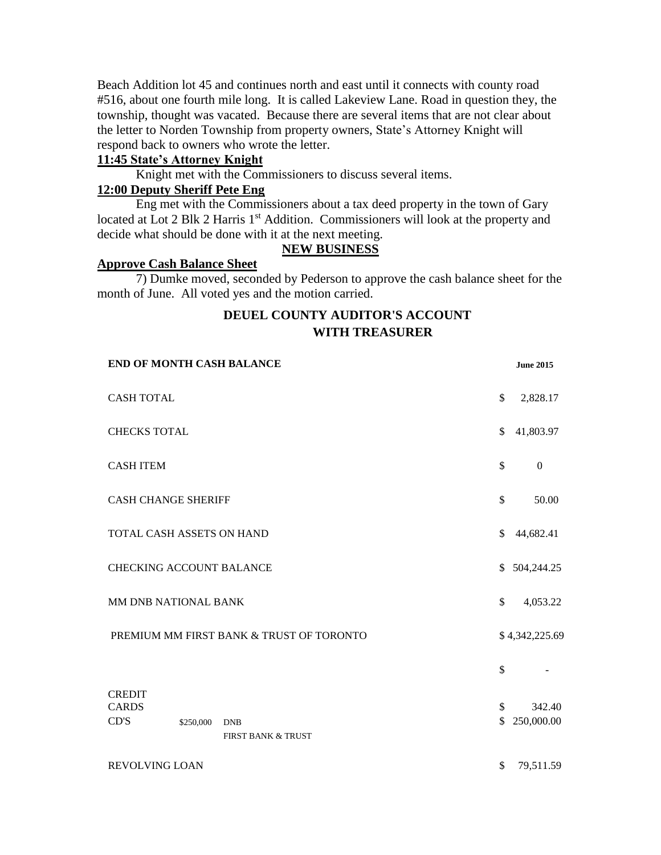Beach Addition lot 45 and continues north and east until it connects with county road #516, about one fourth mile long. It is called Lakeview Lane. Road in question they, the township, thought was vacated. Because there are several items that are not clear about the letter to Norden Township from property owners, State's Attorney Knight will respond back to owners who wrote the letter.

## **11:45 State's Attorney Knight**

Knight met with the Commissioners to discuss several items.

## **12:00 Deputy Sheriff Pete Eng**

Eng met with the Commissioners about a tax deed property in the town of Gary located at Lot 2 Blk 2 Harris 1<sup>st</sup> Addition. Commissioners will look at the property and decide what should be done with it at the next meeting.

# **NEW BUSINESS**

### **Approve Cash Balance Sheet**

7) Dumke moved, seconded by Pederson to approve the cash balance sheet for the month of June. All voted yes and the motion carried.

# **DEUEL COUNTY AUDITOR'S ACCOUNT WITH TREASURER**

| END OF MONTH CASH BALANCE                |              |                                             |               | <b>June 2015</b>     |
|------------------------------------------|--------------|---------------------------------------------|---------------|----------------------|
| <b>CASH TOTAL</b>                        |              |                                             | \$            | 2,828.17             |
| <b>CHECKS TOTAL</b>                      |              |                                             | $\mathbb{S}$  | 41,803.97            |
| <b>CASH ITEM</b>                         |              |                                             | $\mathcal{S}$ | $\mathbf{0}$         |
| <b>CASH CHANGE SHERIFF</b>               |              |                                             | $\mathcal{S}$ | 50.00                |
| TOTAL CASH ASSETS ON HAND                | \$           | 44,682.41                                   |               |                      |
| <b>CHECKING ACCOUNT BALANCE</b>          |              | \$ 504,244.25                               |               |                      |
| MM DNB NATIONAL BANK                     | $\mathbb{S}$ | 4,053.22                                    |               |                      |
| PREMIUM MM FIRST BANK & TRUST OF TORONTO |              | \$4,342,225.69                              |               |                      |
|                                          |              |                                             | \$            |                      |
| <b>CREDIT</b><br><b>CARDS</b><br>CD'S    | \$250,000    | <b>DNB</b><br><b>FIRST BANK &amp; TRUST</b> | \$<br>\$      | 342.40<br>250,000.00 |
| REVOLVING LOAN                           |              |                                             | \$            | 79,511.59            |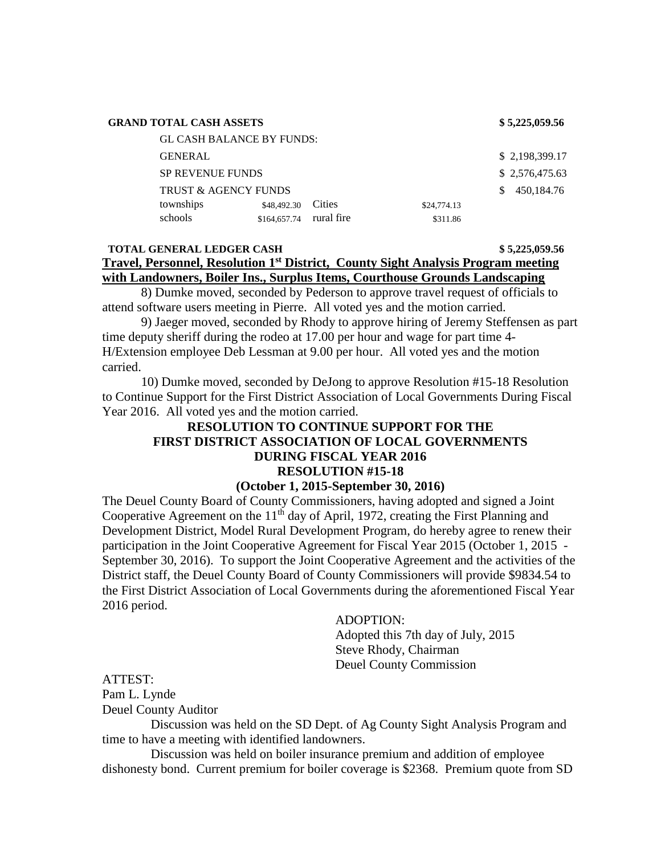| \$5,225,059.56 |
|----------------|
|----------------|

#### **GRAND TOTAL CASH ASSETS \$ 5,225,059.56**

| <b>GL CASH BALANCE BY FUNDS:</b> |              |            |             |  |                |
|----------------------------------|--------------|------------|-------------|--|----------------|
| <b>GENERAL</b>                   |              |            |             |  | \$2,198,399.17 |
| <b>SP REVENUE FUNDS</b>          |              |            |             |  | \$2,576,475.63 |
| <b>TRUST &amp; AGENCY FUNDS</b>  |              |            |             |  | 450.184.76     |
| townships                        | \$48,492.30  | Cities     | \$24,774.13 |  |                |
| schools                          | \$164,657.74 | rural fire | \$311.86    |  |                |

## **TOTAL GENERAL LEDGER CASH \$ 5,225,059.56 Travel, Personnel, Resolution 1st District, County Sight Analysis Program meeting with Landowners, Boiler Ins., Surplus Items, Courthouse Grounds Landscaping**

8) Dumke moved, seconded by Pederson to approve travel request of officials to attend software users meeting in Pierre. All voted yes and the motion carried.

 9) Jaeger moved, seconded by Rhody to approve hiring of Jeremy Steffensen as part time deputy sheriff during the rodeo at 17.00 per hour and wage for part time 4- H/Extension employee Deb Lessman at 9.00 per hour. All voted yes and the motion carried.

 10) Dumke moved, seconded by DeJong to approve Resolution #15-18 Resolution to Continue Support for the First District Association of Local Governments During Fiscal Year 2016. All voted yes and the motion carried.

# **RESOLUTION TO CONTINUE SUPPORT FOR THE FIRST DISTRICT ASSOCIATION OF LOCAL GOVERNMENTS DURING FISCAL YEAR 2016 RESOLUTION #15-18**

#### **(October 1, 2015-September 30, 2016)**

The Deuel County Board of County Commissioners, having adopted and signed a Joint Cooperative Agreement on the  $11<sup>th</sup>$  day of April, 1972, creating the First Planning and Development District, Model Rural Development Program, do hereby agree to renew their participation in the Joint Cooperative Agreement for Fiscal Year 2015 (October 1, 2015 - September 30, 2016). To support the Joint Cooperative Agreement and the activities of the District staff, the Deuel County Board of County Commissioners will provide \$9834.54 to the First District Association of Local Governments during the aforementioned Fiscal Year 2016 period.

### ADOPTION:

Adopted this 7th day of July, 2015 Steve Rhody, Chairman Deuel County Commission

# ATTEST: Pam L. Lynde Deuel County Auditor

 Discussion was held on the SD Dept. of Ag County Sight Analysis Program and time to have a meeting with identified landowners.

 Discussion was held on boiler insurance premium and addition of employee dishonesty bond. Current premium for boiler coverage is \$2368. Premium quote from SD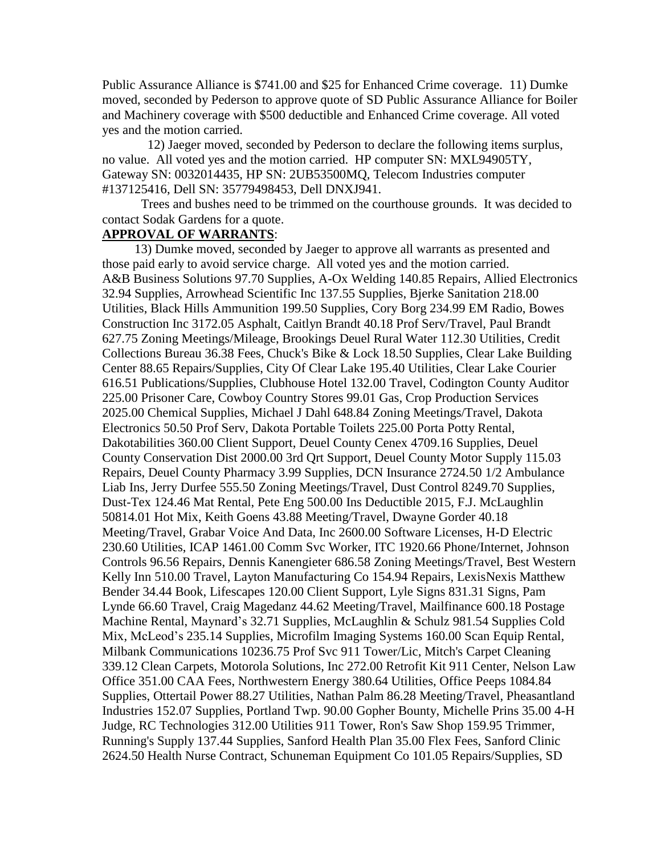Public Assurance Alliance is \$741.00 and \$25 for Enhanced Crime coverage. 11) Dumke moved, seconded by Pederson to approve quote of SD Public Assurance Alliance for Boiler and Machinery coverage with \$500 deductible and Enhanced Crime coverage. All voted yes and the motion carried.

 12) Jaeger moved, seconded by Pederson to declare the following items surplus, no value. All voted yes and the motion carried. HP computer SN: MXL94905TY, Gateway SN: 0032014435, HP SN: 2UB53500MQ, Telecom Industries computer #137125416, Dell SN: 35779498453, Dell DNXJ941.

 Trees and bushes need to be trimmed on the courthouse grounds. It was decided to contact Sodak Gardens for a quote.

## **APPROVAL OF WARRANTS**:

 13) Dumke moved, seconded by Jaeger to approve all warrants as presented and those paid early to avoid service charge. All voted yes and the motion carried. A&B Business Solutions 97.70 Supplies, A-Ox Welding 140.85 Repairs, Allied Electronics 32.94 Supplies, Arrowhead Scientific Inc 137.55 Supplies, Bjerke Sanitation 218.00 Utilities, Black Hills Ammunition 199.50 Supplies, Cory Borg 234.99 EM Radio, Bowes Construction Inc 3172.05 Asphalt, Caitlyn Brandt 40.18 Prof Serv/Travel, Paul Brandt 627.75 Zoning Meetings/Mileage, Brookings Deuel Rural Water 112.30 Utilities, Credit Collections Bureau 36.38 Fees, Chuck's Bike & Lock 18.50 Supplies, Clear Lake Building Center 88.65 Repairs/Supplies, City Of Clear Lake 195.40 Utilities, Clear Lake Courier 616.51 Publications/Supplies, Clubhouse Hotel 132.00 Travel, Codington County Auditor 225.00 Prisoner Care, Cowboy Country Stores 99.01 Gas, Crop Production Services 2025.00 Chemical Supplies, Michael J Dahl 648.84 Zoning Meetings/Travel, Dakota Electronics 50.50 Prof Serv, Dakota Portable Toilets 225.00 Porta Potty Rental, Dakotabilities 360.00 Client Support, Deuel County Cenex 4709.16 Supplies, Deuel County Conservation Dist 2000.00 3rd Qrt Support, Deuel County Motor Supply 115.03 Repairs, Deuel County Pharmacy 3.99 Supplies, DCN Insurance 2724.50 1/2 Ambulance Liab Ins, Jerry Durfee 555.50 Zoning Meetings/Travel, Dust Control 8249.70 Supplies, Dust-Tex 124.46 Mat Rental, Pete Eng 500.00 Ins Deductible 2015, F.J. McLaughlin 50814.01 Hot Mix, Keith Goens 43.88 Meeting/Travel, Dwayne Gorder 40.18 Meeting/Travel, Grabar Voice And Data, Inc 2600.00 Software Licenses, H-D Electric 230.60 Utilities, ICAP 1461.00 Comm Svc Worker, ITC 1920.66 Phone/Internet, Johnson Controls 96.56 Repairs, Dennis Kanengieter 686.58 Zoning Meetings/Travel, Best Western Kelly Inn 510.00 Travel, Layton Manufacturing Co 154.94 Repairs, LexisNexis Matthew Bender 34.44 Book, Lifescapes 120.00 Client Support, Lyle Signs 831.31 Signs, Pam Lynde 66.60 Travel, Craig Magedanz 44.62 Meeting/Travel, Mailfinance 600.18 Postage Machine Rental, Maynard's 32.71 Supplies, McLaughlin & Schulz 981.54 Supplies Cold Mix, McLeod's 235.14 Supplies, Microfilm Imaging Systems 160.00 Scan Equip Rental, Milbank Communications 10236.75 Prof Svc 911 Tower/Lic, Mitch's Carpet Cleaning 339.12 Clean Carpets, Motorola Solutions, Inc 272.00 Retrofit Kit 911 Center, Nelson Law Office 351.00 CAA Fees, Northwestern Energy 380.64 Utilities, Office Peeps 1084.84 Supplies, Ottertail Power 88.27 Utilities, Nathan Palm 86.28 Meeting/Travel, Pheasantland Industries 152.07 Supplies, Portland Twp. 90.00 Gopher Bounty, Michelle Prins 35.00 4-H Judge, RC Technologies 312.00 Utilities 911 Tower, Ron's Saw Shop 159.95 Trimmer, Running's Supply 137.44 Supplies, Sanford Health Plan 35.00 Flex Fees, Sanford Clinic 2624.50 Health Nurse Contract, Schuneman Equipment Co 101.05 Repairs/Supplies, SD